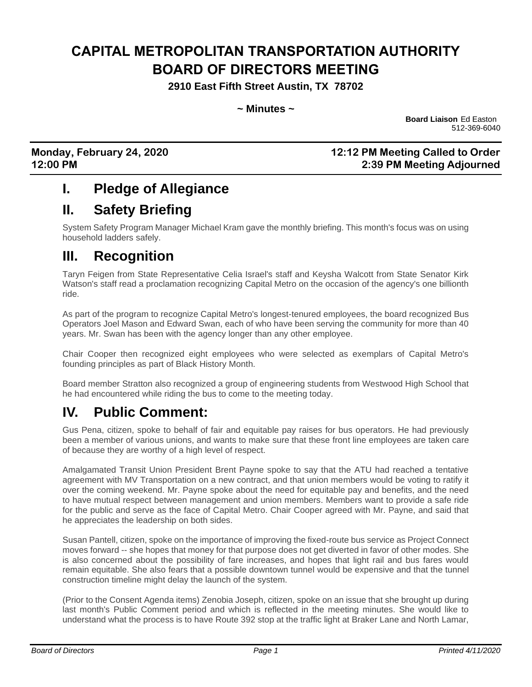# **CAPITAL METROPOLITAN TRANSPORTATION AUTHORITY BOARD OF DIRECTORS MEETING**

**2910 East Fifth Street Austin, TX 78702**

**~ Minutes ~**

**Board Liaison** Ed Easton 512-369-6040

#### **Monday, February 24, 2020 12:12 PM Meeting Called to Order 12:00 PM 2:39 PM Meeting Adjourned**

### **I. Pledge of Allegiance**

## **II. Safety Briefing**

System Safety Program Manager Michael Kram gave the monthly briefing. This month's focus was on using household ladders safely.

### **III. Recognition**

Taryn Feigen from State Representative Celia Israel's staff and Keysha Walcott from State Senator Kirk Watson's staff read a proclamation recognizing Capital Metro on the occasion of the agency's one billionth ride.

As part of the program to recognize Capital Metro's longest-tenured employees, the board recognized Bus Operators Joel Mason and Edward Swan, each of who have been serving the community for more than 40 years. Mr. Swan has been with the agency longer than any other employee.

Chair Cooper then recognized eight employees who were selected as exemplars of Capital Metro's founding principles as part of Black History Month.

Board member Stratton also recognized a group of engineering students from Westwood High School that he had encountered while riding the bus to come to the meeting today.

### **IV. Public Comment:**

Gus Pena, citizen, spoke to behalf of fair and equitable pay raises for bus operators. He had previously been a member of various unions, and wants to make sure that these front line employees are taken care of because they are worthy of a high level of respect.

Amalgamated Transit Union President Brent Payne spoke to say that the ATU had reached a tentative agreement with MV Transportation on a new contract, and that union members would be voting to ratify it over the coming weekend. Mr. Payne spoke about the need for equitable pay and benefits, and the need to have mutual respect between management and union members. Members want to provide a safe ride for the public and serve as the face of Capital Metro. Chair Cooper agreed with Mr. Payne, and said that he appreciates the leadership on both sides.

Susan Pantell, citizen, spoke on the importance of improving the fixed-route bus service as Project Connect moves forward -- she hopes that money for that purpose does not get diverted in favor of other modes. She is also concerned about the possibility of fare increases, and hopes that light rail and bus fares would remain equitable. She also fears that a possible downtown tunnel would be expensive and that the tunnel construction timeline might delay the launch of the system.

(Prior to the Consent Agenda items) Zenobia Joseph, citizen, spoke on an issue that she brought up during last month's Public Comment period and which is reflected in the meeting minutes. She would like to understand what the process is to have Route 392 stop at the traffic light at Braker Lane and North Lamar,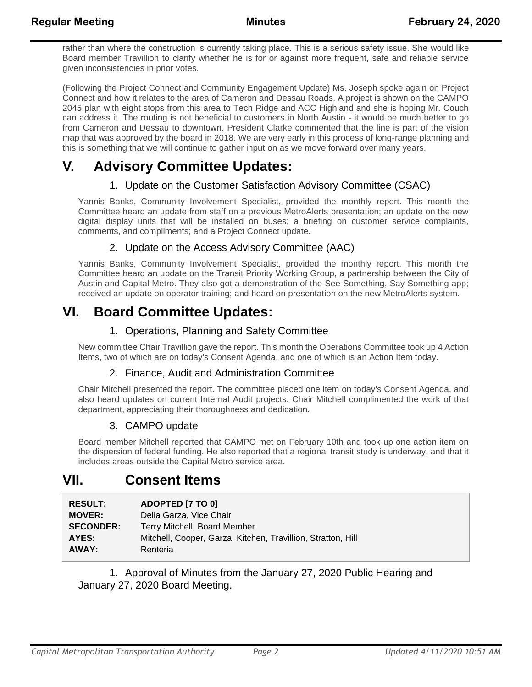rather than where the construction is currently taking place. This is a serious safety issue. She would like Board member Travillion to clarify whether he is for or against more frequent, safe and reliable service given inconsistencies in prior votes.

(Following the Project Connect and Community Engagement Update) Ms. Joseph spoke again on Project Connect and how it relates to the area of Cameron and Dessau Roads. A project is shown on the CAMPO 2045 plan with eight stops from this area to Tech Ridge and ACC Highland and she is hoping Mr. Couch can address it. The routing is not beneficial to customers in North Austin - it would be much better to go from Cameron and Dessau to downtown. President Clarke commented that the line is part of the vision map that was approved by the board in 2018. We are very early in this process of long-range planning and this is something that we will continue to gather input on as we move forward over many years.

# **V. Advisory Committee Updates:**

#### 1. Update on the Customer Satisfaction Advisory Committee (CSAC)

Yannis Banks, Community Involvement Specialist, provided the monthly report. This month the Committee heard an update from staff on a previous MetroAlerts presentation; an update on the new digital display units that will be installed on buses; a briefing on customer service complaints, comments, and compliments; and a Project Connect update.

#### 2. Update on the Access Advisory Committee (AAC)

Yannis Banks, Community Involvement Specialist, provided the monthly report. This month the Committee heard an update on the Transit Priority Working Group, a partnership between the City of Austin and Capital Metro. They also got a demonstration of the See Something, Say Something app; received an update on operator training; and heard on presentation on the new MetroAlerts system.

## **VI. Board Committee Updates:**

#### 1. Operations, Planning and Safety Committee

New committee Chair Travillion gave the report. This month the Operations Committee took up 4 Action Items, two of which are on today's Consent Agenda, and one of which is an Action Item today.

#### 2. Finance, Audit and Administration Committee

Chair Mitchell presented the report. The committee placed one item on today's Consent Agenda, and also heard updates on current Internal Audit projects. Chair Mitchell complimented the work of that department, appreciating their thoroughness and dedication.

#### 3. CAMPO update

Board member Mitchell reported that CAMPO met on February 10th and took up one action item on the dispersion of federal funding. He also reported that a regional transit study is underway, and that it includes areas outside the Capital Metro service area.

### **VII. Consent Items**

| <b>RESULT:</b>   | ADOPTED [7 TO 0]                                             |
|------------------|--------------------------------------------------------------|
| <b>MOVER:</b>    | Delia Garza, Vice Chair                                      |
| <b>SECONDER:</b> | Terry Mitchell, Board Member                                 |
| AYES:            | Mitchell, Cooper, Garza, Kitchen, Travillion, Stratton, Hill |
| AWAY:            | Renteria                                                     |

1. Approval of Minutes from the January 27, 2020 Public Hearing and January 27, 2020 Board Meeting.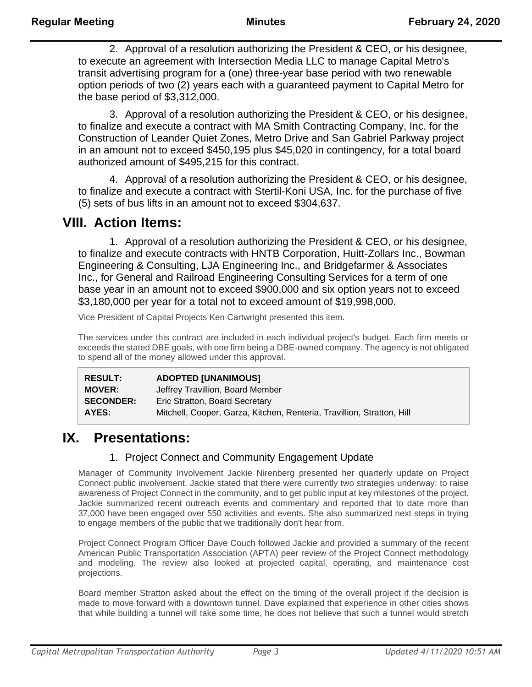2. Approval of a resolution authorizing the President & CEO, or his designee, to execute an agreement with Intersection Media LLC to manage Capital Metro's transit advertising program for a (one) three-year base period with two renewable option periods of two (2) years each with a guaranteed payment to Capital Metro for the base period of \$3,312,000.

3. Approval of a resolution authorizing the President & CEO, or his designee, to finalize and execute a contract with MA Smith Contracting Company, Inc. for the Construction of Leander Quiet Zones, Metro Drive and San Gabriel Parkway project in an amount not to exceed \$450,195 plus \$45,020 in contingency, for a total board authorized amount of \$495,215 for this contract.

4. Approval of a resolution authorizing the President & CEO, or his designee, to finalize and execute a contract with Stertil-Koni USA, Inc. for the purchase of five (5) sets of bus lifts in an amount not to exceed \$304,637.

### **VIII. Action Items:**

1. Approval of a resolution authorizing the President & CEO, or his designee, to finalize and execute contracts with HNTB Corporation, Huitt-Zollars Inc., Bowman Engineering & Consulting, LJA Engineering Inc., and Bridgefarmer & Associates Inc., for General and Railroad Engineering Consulting Services for a term of one base year in an amount not to exceed \$900,000 and six option years not to exceed \$3,180,000 per year for a total not to exceed amount of \$19,998,000.

Vice President of Capital Projects Ken Cartwright presented this item.

The services under this contract are included in each individual project's budget. Each firm meets or exceeds the stated DBE goals, with one firm being a DBE-owned company. The agency is not obligated to spend all of the money allowed under this approval.

| <b>RESULT:</b>   | <b>ADOPTED [UNANIMOUS]</b>                                             |
|------------------|------------------------------------------------------------------------|
| <b>MOVER:</b>    | Jeffrey Travillion, Board Member                                       |
| <b>SECONDER:</b> | Eric Stratton, Board Secretary                                         |
| AYES:            | Mitchell, Cooper, Garza, Kitchen, Renteria, Travillion, Stratton, Hill |

### **IX. Presentations:**

#### 1. Project Connect and Community Engagement Update

Manager of Community Involvement Jackie Nirenberg presented her quarterly update on Project Connect public involvement. Jackie stated that there were currently two strategies underway: to raise awareness of Project Connect in the community, and to get public input at key milestones of the project. Jackie summarized recent outreach events and commentary and reported that to date more than 37,000 have been engaged over 550 activities and events. She also summarized next steps in trying to engage members of the public that we traditionally don't hear from.

Project Connect Program Officer Dave Couch followed Jackie and provided a summary of the recent American Public Transportation Association (APTA) peer review of the Project Connect methodology and modeling. The review also looked at projected capital, operating, and maintenance cost projections.

Board member Stratton asked about the effect on the timing of the overall project if the decision is made to move forward with a downtown tunnel. Dave explained that experience in other cities shows that while building a tunnel will take some time, he does not believe that such a tunnel would stretch